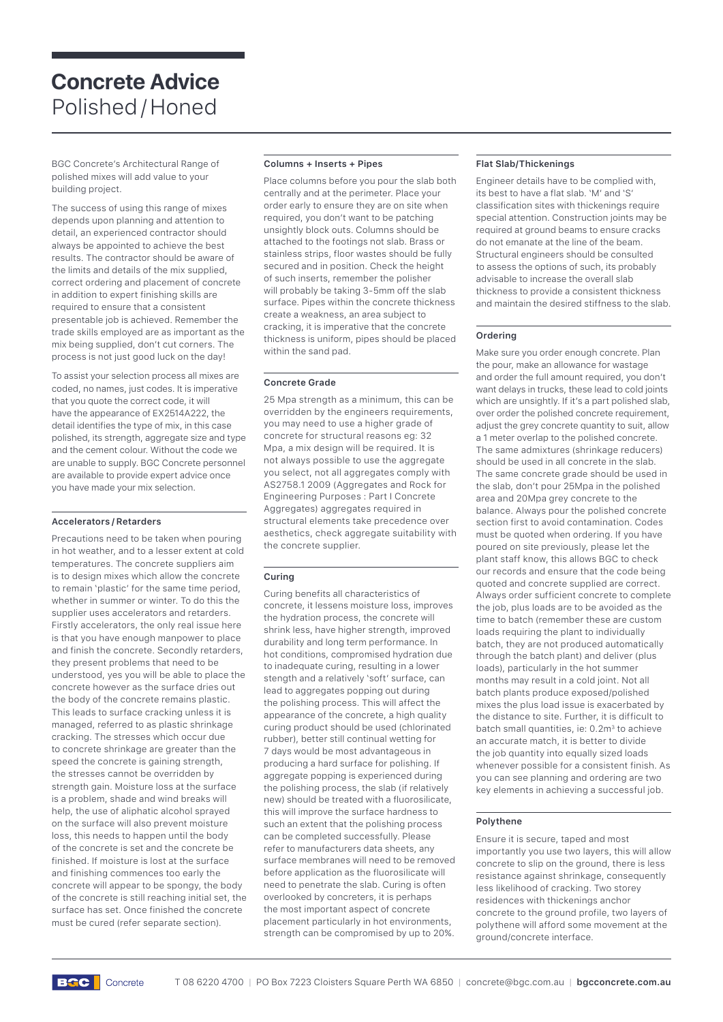# **Concrete Advice**  Polished / Honed

BGC Concrete's Architectural Range of polished mixes will add value to your building project.

The success of using this range of mixes depends upon planning and attention to detail, an experienced contractor should always be appointed to achieve the best results. The contractor should be aware of the limits and details of the mix supplied, correct ordering and placement of concrete in addition to expert finishing skills are required to ensure that a consistent presentable job is achieved. Remember the trade skills employed are as important as the mix being supplied, don't cut corners. The process is not just good luck on the day!

To assist your selection process all mixes are coded, no names, just codes. It is imperative that you quote the correct code, it will have the appearance of EX2514A222, the detail identifies the type of mix, in this case polished, its strength, aggregate size and type and the cement colour. Without the code we are unable to supply. BGC Concrete personnel are available to provide expert advice once you have made your mix selection.

## **Accelerators / Retarders**

Precautions need to be taken when pouring in hot weather, and to a lesser extent at cold temperatures. The concrete suppliers aim is to design mixes which allow the concrete to remain 'plastic' for the same time period, whether in summer or winter. To do this the supplier uses accelerators and retarders. Firstly accelerators, the only real issue here is that you have enough manpower to place and finish the concrete. Secondly retarders, they present problems that need to be understood, yes you will be able to place the concrete however as the surface dries out the body of the concrete remains plastic. This leads to surface cracking unless it is managed, referred to as plastic shrinkage cracking. The stresses which occur due to concrete shrinkage are greater than the speed the concrete is gaining strength, the stresses cannot be overridden by strength gain. Moisture loss at the surface is a problem, shade and wind breaks will help, the use of aliphatic alcohol sprayed on the surface will also prevent moisture loss, this needs to hannen until the body of the concrete is set and the concrete be finished. If moisture is lost at the surface and finishing commences too early the concrete will appear to be spongy, the body of the concrete is still reaching initial set, the surface has set. Once finished the concrete must be cured (refer separate section).

# **Columns + Inserts + Pipes**

Place columns before you pour the slab both centrally and at the perimeter. Place your order early to ensure they are on site when required, you don't want to be patching unsightly block outs. Columns should be attached to the footings not slab. Brass or stainless strips, floor wastes should be fully secured and in position. Check the height of such inserts, remember the polisher will probably be taking 3-5mm off the slab surface. Pipes within the concrete thickness create a weakness, an area subject to cracking, it is imperative that the concrete thickness is uniform, pipes should be placed within the sand pad.

## **Concrete Grade**

25 Mpa strength as a minimum, this can be overridden by the engineers requirements, you may need to use a higher grade of concrete for structural reasons eg: 32 Mpa, a mix design will be required. It is not always possible to use the aggregate you select, not all aggregates comply with AS2758.1 2009 (Aggregates and Rock for Engineering Purposes : Part I Concrete Aggregates) aggregates required in structural elements take precedence over aesthetics, check aggregate suitability with the concrete supplier.

# **Curing**

Curing benefits all characteristics of concrete, it lessens moisture loss, improves the hydration process, the concrete will shrink less, have higher strength, improved durability and long term performance. In hot conditions, compromised hydration due to inadequate curing, resulting in a lower stength and a relatively 'soft' surface, can lead to aggregates popping out during the polishing process. This will affect the appearance of the concrete, a high quality curing product should be used (chlorinated rubber), better still continual wetting for 7 days would be most advantageous in producing a hard surface for polishing. If aggregate popping is experienced during the polishing process, the slab (if relatively new) should be treated with a fluorosilicate, this will improve the surface hardness to such an extent that the polishing process can be completed successfully. Please refer to manufacturers data sheets, any surface membranes will need to be removed before application as the fluorosilicate will need to penetrate the slab. Curing is often overlooked by concreters, it is perhaps the most important aspect of concrete placement particularly in hot environments, strength can be compromised by up to 20%.

## **Flat Slab/Thickenings**

Engineer details have to be complied with, its best to have a flat slab. 'M' and 'S' classification sites with thickenings require special attention. Construction joints may be required at ground beams to ensure cracks do not emanate at the line of the beam. Structural engineers should be consulted to assess the options of such, its probably advisable to increase the overall slab thickness to provide a consistent thickness and maintain the desired stiffness to the slab.

#### **Ordering**

Make sure you order enough concrete. Plan the pour, make an allowance for wastage and order the full amount required, you don't want delays in trucks, these lead to cold joints which are unsightly. If it's a part polished slab, over order the polished concrete requirement, adjust the grey concrete quantity to suit, allow a 1 meter overlap to the polished concrete. The same admixtures (shrinkage reducers) should be used in all concrete in the slab. The same concrete grade should be used in the slab, don't pour 25Mpa in the polished area and 20Mpa grey concrete to the balance. Always pour the polished concrete section first to avoid contamination. Codes must be quoted when ordering. If you have poured on site previously, please let the plant staff know, this allows BGC to check our records and ensure that the code being quoted and concrete supplied are correct. Always order sufficient concrete to complete the job, plus loads are to be avoided as the time to batch (remember these are custom loads requiring the plant to individually batch, they are not produced automatically through the batch plant) and deliver (plus loads), particularly in the hot summer months may result in a cold joint. Not all batch plants produce exposed/polished mixes the plus load issue is exacerbated by the distance to site. Further, it is difficult to batch small quantities, ie: 0.2m<sup>3</sup> to achieve an accurate match, it is better to divide the job quantity into equally sized loads whenever possible for a consistent finish. As you can see planning and ordering are two key elements in achieving a successful job.

#### **Polythene**

Ensure it is secure, taped and most importantly you use two layers, this will allow concrete to slip on the ground, there is less resistance against shrinkage, consequently less likelihood of cracking. Two storey residences with thickenings anchor concrete to the ground profile, two layers of polythene will afford some movement at the ground/concrete interface.